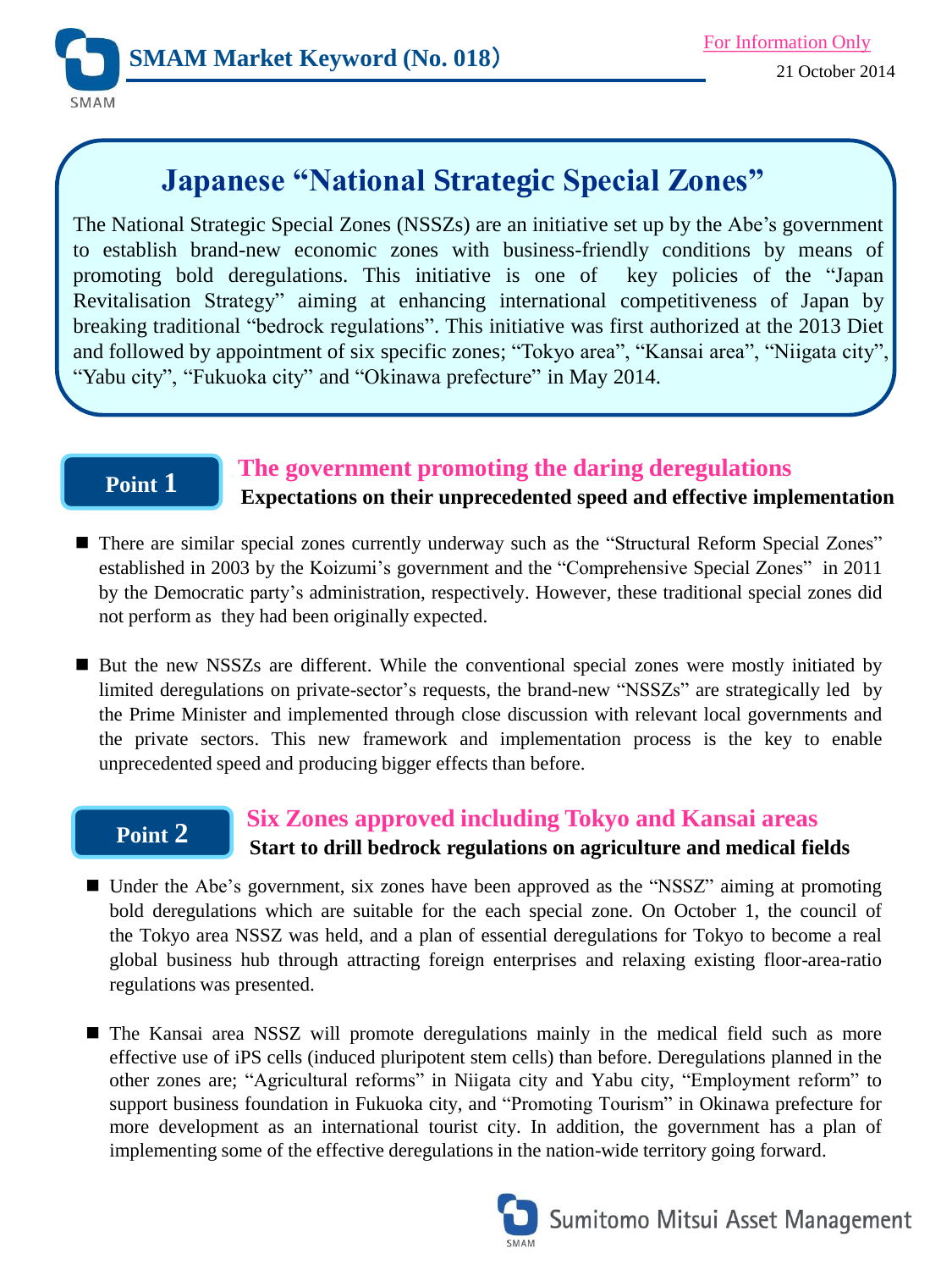

# **Japanese "National Strategic Special Zones"**

The National Strategic Special Zones (NSSZs) are an initiative set up by the Abe's government to establish brand-new economic zones with business-friendly conditions by means of promoting bold deregulations. This initiative is one of key policies of the "Japan Revitalisation Strategy" aiming at enhancing international competitiveness of Japan by breaking traditional "bedrock regulations". This initiative was first authorized at the 2013 Diet and followed by appointment of six specific zones; "Tokyo area", "Kansai area", "Niigata city", "Yabu city", "Fukuoka city" and "Okinawa prefecture" in May 2014.

## **Point 1**

## **The government promoting the daring deregulations**

 **Expectations on their unprecedented speed and effective implementation**

- There are similar special zones currently underway such as the "Structural Reform Special Zones" established in 2003 by the Koizumi's government and the "Comprehensive Special Zones" in 2011 by the Democratic party's administration, respectively. However, these traditional special zones did not perform as they had been originally expected.
- But the new NSSZs are different. While the conventional special zones were mostly initiated by limited deregulations on private-sector's requests, the brand-new "NSSZs" are strategically led by the Prime Minister and implemented through close discussion with relevant local governments and the private sectors. This new framework and implementation process is the key to enable unprecedented speed and producing bigger effects than before.

## **Point 2**

### **Six Zones approved including Tokyo and Kansai areas Start to drill bedrock regulations on agriculture and medical fields**

- Under the Abe's government, six zones have been approved as the "NSSZ" aiming at promoting bold deregulations which are suitable for the each special zone. On October 1, the council of the Tokyo area NSSZ was held, and a plan of essential deregulations for Tokyo to become a real global business hub through attracting foreign enterprises and relaxing existing floor-area-ratio regulations was presented.
- The Kansai area NSSZ will promote deregulations mainly in the medical field such as more effective use of iPS cells (induced pluripotent stem cells) than before. Deregulations planned in the other zones are; "Agricultural reforms" in Niigata city and Yabu city, "Employment reform" to support business foundation in Fukuoka city, and "Promoting Tourism" in Okinawa prefecture for more development as an international tourist city. In addition, the government has a plan of implementing some of the effective deregulations in the nation-wide territory going forward.